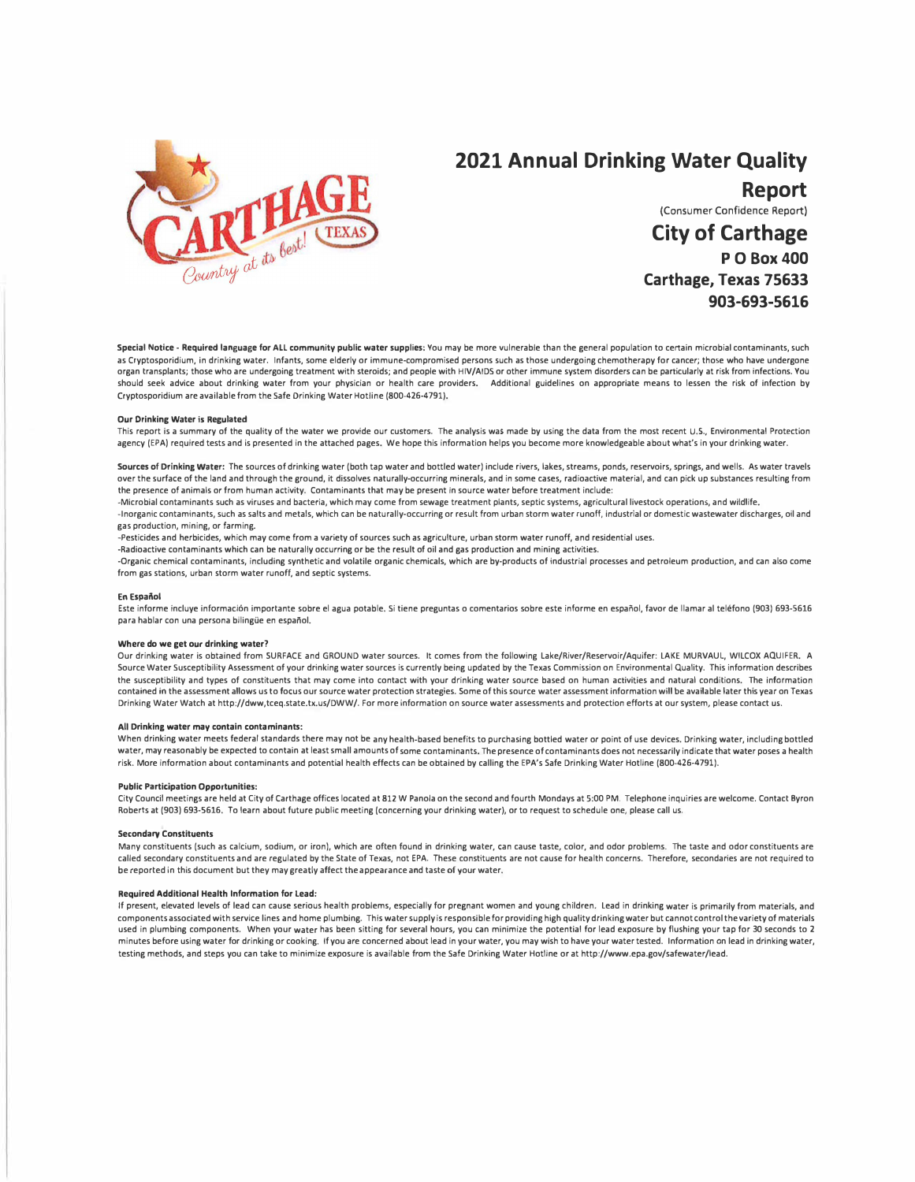

# **2021 Annual Drinking Water Quality Report**

(Consumer Confidence Report)

**City of Carthage PO Box400 Carthage, Texas 75633 903-693-5616**

Special Notice - Required language for ALL community public water supplies: You may be more vulnerable than the general population to certain microbial contaminants, such as Cryptosporidium, in drinking water. Infants, some elderly or immune-compromised persons such as those undergoing chemotherapy for cancer; those who have undergone organ transplants; those who are undergoing treatment with steroids; and people with HIV/AIDS or other immune system disorders can be particularly at risk from infections. You should seek advice about drinking water from your physician or health care providers. Additional guidelines on appropriate means to lessen the risk of infection by Cryptosporidium are available from the Safe Drinking Water Hotline (800-426-4791).

#### **Our Drinking Water is Regulated**

This report is a summary of the quality of the water we provide our customers. The analysis was made by using the data from the most recent U.S., Environmental Protection agency (EPA) required tests and is presented in the attached pages. We hope this information helps you become more knowledgeable about what's in your drinking water.

Sources of **Drinking Water:** The sources of drinking water (both tap water and bottled water) include rivers, lakes, streams, ponds, reservoirs, springs, and wells. As water travels over the surface of the land and through the ground, it dissolves naturally-occurring minerals, and in some cases, radioactive material, and can pick up substances resulting from the presence of animals or from human activity. Contaminants that may be present in source water before treatment include:

-Microbial contaminants such as viruses and bacteria, which may come from sewage treatment plants, septic systems, agricultural livestock operations, and wildlife. -Inorganic contaminants, such as salts and metals, which can be naturally-occurring or result from urban storm water runoff, industrial or domestic wastewater discharges, oil and

### gas production, mining, or farming.

-Pesticides and herbicides, which may come from a variety of sources such as agriculture, urban storm water runoff, and residential uses.

-Radioactive contaminants which can be naturally occurring or be the result of oil and gas production and mining activities.

-Organic chemical contaminants, including synthetic and volatile organic chemicals, which are by-products of industrial processes and petroleum production, and can also come from gas stations, urban storm water runoff, and septic systems.

#### **En Espanol**

Este informe incluye información importante sobre el agua potable. Si tiene preguntas o comentarios sobre este informe en español, favor de llamar al teléfono (903) 693-5616 para hablar con una persona bilingüe en español.

#### **Where do we get our drinking water?**

Our drinking water is obtained from SURFACE and GROUND water sources. It comes from the following Lake/River/Reservoir/Aquifer: LAKE MURVAUL, WILCOX AQUIFER. A Source Water Susceptibility Assessment of your drinking water sources is currently being updated by the Texas Commission on Environmental Quality. This information describes the susceptibility and types of constituents that may come into contact with your drinking water source based on human activities and natural conditions. The information contained in the assessment allows us to focus our source water protection strategies. Some of this source water assessment information will be available later this year on Texas Drinking Water Watch at http://dww,tceq.state.tx.us/DWW/. For more information on source water assessments and protection efforts at our system, please contact **us.** 

#### **All Drinking** water may contain contaminants:

When drinking water meets federal standards there may not be any health-based benefits to purchasing bottled water or point of use devices. Drinking water, including bottled water, may reasonably be expected to contain at least small amounts of some contaminants. The presence of contaminants does not necessarily indicate that water poses a health risk. More information about contaminants and potential health effects can be obtained by calling the EPA's Safe Drinking Water Hotline (800-426-4791).

#### **Public Participation Opportunities:**

City Council meetings are held at City of Carthage offices located at 812 W Panola on the second and fourth Mondays at 5:00 PM. Telephone inquiries are welcome. Contact Byron Roberts at (903) 693-5616. To learn about future public meeting (concerning your drinking water), or to request to schedule one, please call us.

#### **Secondary Constituents**

Many constituents (such as calcium, sodium, or iron), which are often found in drinking water, can cause taste, color, and odor problems. The taste and odor constituents are called secondary constituents and are regulated by the State of Texas, not EPA. These constituents are not cause for health concerns. Therefore, secondaries are not required to be reported in this document but they may greatly affect the appearance and taste of your water.

#### **Required Additional Health Information for Lead:**

If present, elevated levels of lead can cause serious health problems, especially for pregnant women and young children. Lead in drinking water is primarily from materials, and components associated with service lines and home plumbing. This water supply is responsible for providing high quality drinking water but cannot control the variety of materials used in plumbing components. When your water has been sitting for several hours, you can minimize the potential for lead exposure by flushing your tap for 30 seconds to 2 minutes before using water for drinking or cooking, If you are concerned about lead in your water, you may wish to have your water tested. Information on lead in drinking water, testing methods, and steps you can take to minimize exposure is available from the Safe Drinking Water Hotline or at http://www.epa.gov/safewater/lead.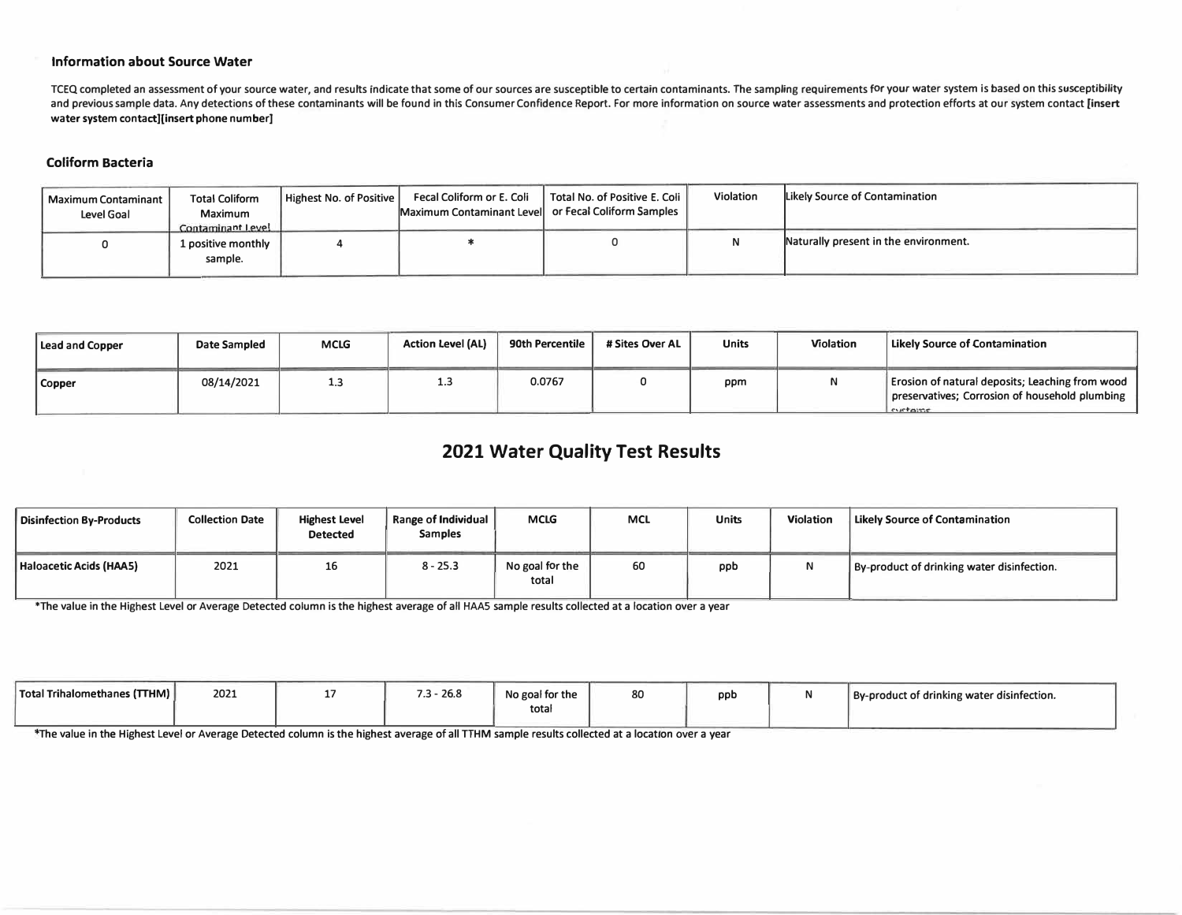## **Information about Source Water**

TCEQ completed an assessment of your source water, and results indicate that some of our sources are susceptible to certain contaminants. The sampling requirements for your water system is based on this susceptibility and previous sample data. Any detections of these contaminants will be found in this Consumer Confidence Report. For more information on source water assessments and protection efforts at our system contact [insert **water system contact][insert phone number]** 

## **Coliform Bacteria**

| <b>Maximum Contaminant</b><br>Level Goal | <b>Total Coliform</b><br>Maximum<br>Contaminant Level | Highest No. of Positive | Fecal Coliform or E. Coli<br>Maximum Contaminant Level or Fecal Coliform Samples | Total No. of Positive E. Coli | Violation | Likely Source of Contamination        |
|------------------------------------------|-------------------------------------------------------|-------------------------|----------------------------------------------------------------------------------|-------------------------------|-----------|---------------------------------------|
|                                          | 1 positive monthly<br>sample.                         |                         |                                                                                  |                               |           | Naturally present in the environment. |

| Lead and Copper | <b>Date Sampled</b> | <b>MCLG</b> | <b>Action Level (AL)</b> | 90th Percentile | # Sites Over AL | <b>Units</b> | <b>Violation</b> | Likely Source of Contamination                                                                               |
|-----------------|---------------------|-------------|--------------------------|-----------------|-----------------|--------------|------------------|--------------------------------------------------------------------------------------------------------------|
| Copper          | 08/14/2021          | 1.3         |                          | 0.0767          |                 | ppm          | N                | Erosion of natural deposits; Leaching from wood<br>preservatives; Corrosion of household plumbing<br>cyclome |

## **2021 Water Quality Test Results**

| <b>Disinfection By-Products</b> | <b>Collection Date</b> | <b>Highest Level</b><br><b>Detected</b> | Range of Individual<br><b>Samples</b> | <b>MCLG</b>              | <b>MCL</b> | <b>Units</b> | <b>Violation</b> | Likely Source of Contamination             |
|---------------------------------|------------------------|-----------------------------------------|---------------------------------------|--------------------------|------------|--------------|------------------|--------------------------------------------|
| Haloacetic Acids (HAA5)         | 2021                   | 16                                      | $8 - 25.3$                            | No goal for the<br>total | 60         | ppb          | M                | By-product of drinking water disinfection. |

**\*The value in the Highest Level or Average Detected column is the highest average of all HAAS sample results collected at a location over a year** 

| Total Trihalomethanes (TTHM) | 2021 | $-26.8$<br>$ -$<br>.J | .<br>No goal for the<br>totar | 20<br>oυ | ppt | By-product of drinking water disinfection. |
|------------------------------|------|-----------------------|-------------------------------|----------|-----|--------------------------------------------|
|                              |      |                       |                               |          |     |                                            |

**The value in the Highest Level or Average Detected column is the highest average of all TTHM sample results collected at a location** *over* **a year**